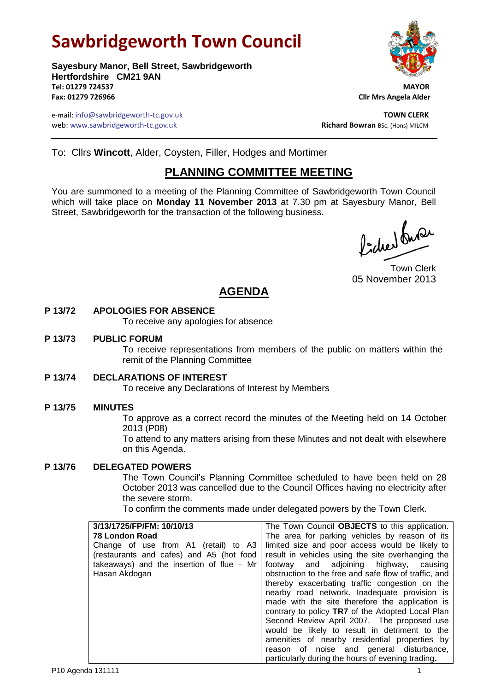# **Sawbridgeworth Town Council**

**Sayesbury Manor, Bell Street, Sawbridgeworth Hertfordshire CM21 9AN Tel: 01279 724537 MAYOR Fax: 01279 726966 Cllr Mrs Angela Alder**

e-mail: info@sawbridgeworth-tc.gov.uk **TOWN CLERK** web: www.sawbridgeworth-tc.gov.uk<br> **Richard Bowran** BSc. (Hons) MILCM

To: Cllrs **Wincott**, Alder, Coysten, Filler, Hodges and Mortimer

# **PLANNING COMMITTEE MEETING**

You are summoned to a meeting of the Planning Committee of Sawbridgeworth Town Council which will take place on **Monday 11 November 2013** at 7.30 pm at Sayesbury Manor, Bell Street, Sawbridgeworth for the transaction of the following business.

Picked france

Town Clerk 05 November 2013

# **AGENDA**

### **P 13/72 APOLOGIES FOR ABSENCE**

To receive any apologies for absence

#### **P 13/73 PUBLIC FORUM**

To receive representations from members of the public on matters within the remit of the Planning Committee

#### **P 13/74 DECLARATIONS OF INTEREST**

To receive any Declarations of Interest by Members

### **P 13/75 MINUTES**

To approve as a correct record the minutes of the Meeting held on 14 October 2013 (P08)

To attend to any matters arising from these Minutes and not dealt with elsewhere on this Agenda.

#### **P 13/76 DELEGATED POWERS**

The Town Council's Planning Committee scheduled to have been held on 28 October 2013 was cancelled due to the Council Offices having no electricity after the severe storm.

To confirm the comments made under delegated powers by the Town Clerk.

| 3/13/1725/FP/FM: 10/10/13                   | The Town Council OBJECTS to this application.         |  |
|---------------------------------------------|-------------------------------------------------------|--|
| 78 London Road                              | The area for parking vehicles by reason of its        |  |
| Change of use from A1 (retail) to A3        | limited size and poor access would be likely to       |  |
| (restaurants and cafes) and A5 (hot food    | result in vehicles using the site overhanging the     |  |
| takeaways) and the insertion of flue $-$ Mr | footway and adjoining highway, causing                |  |
| Hasan Akdogan                               | obstruction to the free and safe flow of traffic, and |  |
|                                             | thereby exacerbating traffic congestion on the        |  |
|                                             | nearby road network. Inadequate provision is          |  |
|                                             | made with the site therefore the application is       |  |
|                                             | contrary to policy TR7 of the Adopted Local Plan      |  |
|                                             | Second Review April 2007. The proposed use            |  |
|                                             | would be likely to result in detriment to the         |  |
|                                             | amenities of nearby residential properties by         |  |
|                                             | reason of noise and general disturbance,              |  |
|                                             | particularly during the hours of evening trading.     |  |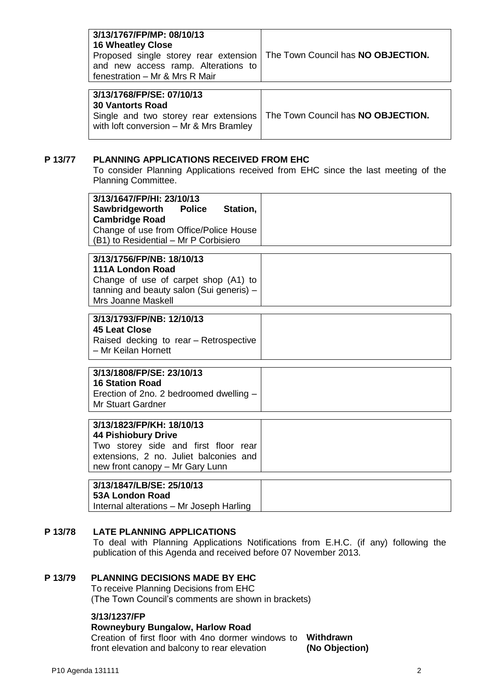| 3/13/1767/FP/MP: 08/10/13<br><b>16 Wheatley Close</b><br>Proposed single storey rear extension   The Town Council has <b>NO OBJECTION.</b><br>and new access ramp. Alterations to<br>fenestration - Mr & Mrs R Mair |  |
|---------------------------------------------------------------------------------------------------------------------------------------------------------------------------------------------------------------------|--|
|                                                                                                                                                                                                                     |  |
| 3/13/1768/FP/SE: 07/10/13                                                                                                                                                                                           |  |

| 3/13/1768/FP/SE: 07/10/13                                                                                           |  |
|---------------------------------------------------------------------------------------------------------------------|--|
| ∣ 30 Vantorts Road                                                                                                  |  |
| Single and two storey rear extensions The Town Council has NO OBJECTION.<br>with loft conversion – Mr & Mrs Bramley |  |

#### **P 13/77 PLANNING APPLICATIONS RECEIVED FROM EHC**

To consider Planning Applications received from EHC since the last meeting of the Planning Committee.

| 3/13/1647/FP/HI: 23/10/13<br>Sawbridgeworth Police<br>Station,<br><b>Cambridge Road</b><br>Change of use from Office/Police House<br>(B1) to Residential - Mr P Corbisiero   |  |
|------------------------------------------------------------------------------------------------------------------------------------------------------------------------------|--|
| 3/13/1756/FP/NB: 18/10/13<br><b>111A London Road</b><br>Change of use of carpet shop (A1) to<br>tanning and beauty salon (Sui generis) -<br>Mrs Joanne Maskell               |  |
| 3/13/1793/FP/NB: 12/10/13<br><b>45 Leat Close</b><br>Raised decking to rear - Retrospective<br>- Mr Keilan Hornett                                                           |  |
| 3/13/1808/FP/SE: 23/10/13<br><b>16 Station Road</b><br>Erection of 2no. 2 bedroomed dwelling -<br><b>Mr Stuart Gardner</b>                                                   |  |
| 3/13/1823/FP/KH: 18/10/13<br><b>44 Pishiobury Drive</b><br>Two storey side and first floor rear<br>extensions, 2 no. Juliet balconies and<br>new front canopy - Mr Gary Lunn |  |
| 3/13/1847/LB/SE: 25/10/13                                                                                                                                                    |  |

## **53A London Road**

Internal alterations – Mr Joseph Harling

### **P 13/78 LATE PLANNING APPLICATIONS**

To deal with Planning Applications Notifications from E.H.C. (if any) following the publication of this Agenda and received before 07 November 2013.

#### **P 13/79 PLANNING DECISIONS MADE BY EHC**

To receive Planning Decisions from EHC (The Town Council's comments are shown in brackets)

#### **3/13/1237/FP**

#### **Rowneybury Bungalow, Harlow Road**

Creation of first floor with 4no dormer windows to **Withdrawn** front elevation and balcony to rear elevation **(No Objection)**